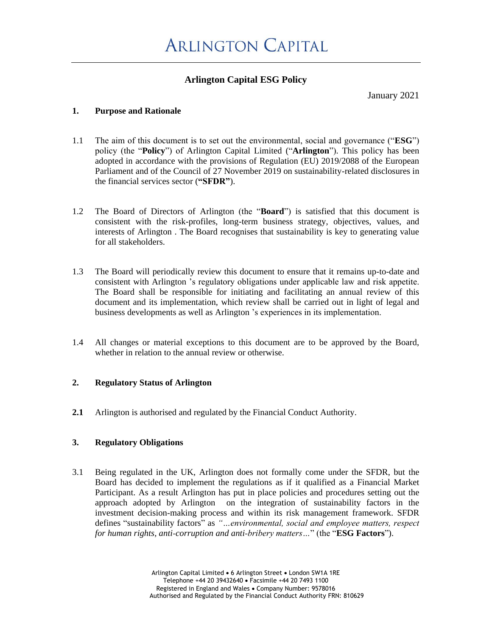## **Arlington Capital ESG Policy**

January 2021

## **1. Purpose and Rationale**

- 1.1 The aim of this document is to set out the environmental, social and governance ("**ESG**") policy (the "**Policy**") of Arlington Capital Limited ("**Arlington**"). This policy has been adopted in accordance with the provisions of Regulation (EU) 2019/2088 of the European Parliament and of the Council of 27 November 2019 on sustainability-related disclosures in the financial services sector (**"SFDR"**).
- 1.2 The Board of Directors of Arlington (the "**Board**") is satisfied that this document is consistent with the risk-profiles, long-term business strategy, objectives, values, and interests of Arlington . The Board recognises that sustainability is key to generating value for all stakeholders.
- 1.3 The Board will periodically review this document to ensure that it remains up-to-date and consistent with Arlington 's regulatory obligations under applicable law and risk appetite. The Board shall be responsible for initiating and facilitating an annual review of this document and its implementation, which review shall be carried out in light of legal and business developments as well as Arlington 's experiences in its implementation.
- 1.4 All changes or material exceptions to this document are to be approved by the Board, whether in relation to the annual review or otherwise.

## **2. Regulatory Status of Arlington**

**2.1** Arlington is authorised and regulated by the Financial Conduct Authority.

## **3. Regulatory Obligations**

3.1 Being regulated in the UK, Arlington does not formally come under the SFDR, but the Board has decided to implement the regulations as if it qualified as a Financial Market Participant. As a result Arlington has put in place policies and procedures setting out the approach adopted by Arlington on the integration of sustainability factors in the investment decision‐making process and within its risk management framework. SFDR defines "sustainability factors" as *"…environmental, social and employee matters, respect for human rights, anti‐corruption and anti‐bribery matters…*" (the "**ESG Factors**").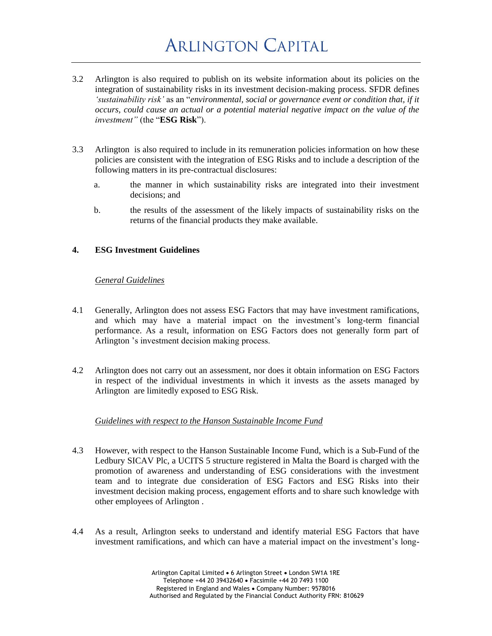# **ARLINGTON CAPITAL**

- 3.2 Arlington is also required to publish on its website information about its policies on the integration of sustainability risks in its investment decision‐making process. SFDR defines *'sustainability risk'* as an "*environmental, social or governance event or condition that, if it occurs, could cause an actual or a potential material negative impact on the value of the investment"* (the "**ESG Risk**").
- 3.3 Arlington is also required to include in its remuneration policies information on how these policies are consistent with the integration of ESG Risks and to include a description of the following matters in its pre‐contractual disclosures:
	- a. the manner in which sustainability risks are integrated into their investment decisions; and
	- b. the results of the assessment of the likely impacts of sustainability risks on the returns of the financial products they make available.

## **4. ESG Investment Guidelines**

#### *General Guidelines*

- 4.1 Generally, Arlington does not assess ESG Factors that may have investment ramifications, and which may have a material impact on the investment's long-term financial performance. As a result, information on ESG Factors does not generally form part of Arlington 's investment decision making process.
- 4.2 Arlington does not carry out an assessment, nor does it obtain information on ESG Factors in respect of the individual investments in which it invests as the assets managed by Arlington are limitedly exposed to ESG Risk.

#### *Guidelines with respect to the Hanson Sustainable Income Fund*

- 4.3 However, with respect to the Hanson Sustainable Income Fund, which is a Sub-Fund of the Ledbury SICAV Plc, a UCITS 5 structure registered in Malta the Board is charged with the promotion of awareness and understanding of ESG considerations with the investment team and to integrate due consideration of ESG Factors and ESG Risks into their investment decision making process, engagement efforts and to share such knowledge with other employees of Arlington .
- 4.4 As a result, Arlington seeks to understand and identify material ESG Factors that have investment ramifications, and which can have a material impact on the investment's long-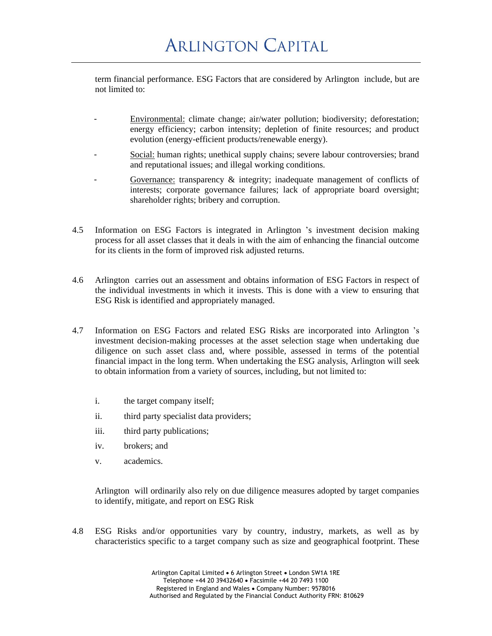term financial performance. ESG Factors that are considered by Arlington include, but are not limited to:

- Environmental: climate change; air/water pollution; biodiversity; deforestation; energy efficiency; carbon intensity; depletion of finite resources; and product evolution (energy-efficient products/renewable energy).
- Social: human rights; unethical supply chains; severe labour controversies; brand and reputational issues; and illegal working conditions.
- Governance: transparency  $\&$  integrity; inadequate management of conflicts of interests; corporate governance failures; lack of appropriate board oversight; shareholder rights; bribery and corruption.
- 4.5 Information on ESG Factors is integrated in Arlington 's investment decision making process for all asset classes that it deals in with the aim of enhancing the financial outcome for its clients in the form of improved risk adjusted returns.
- 4.6 Arlington carries out an assessment and obtains information of ESG Factors in respect of the individual investments in which it invests. This is done with a view to ensuring that ESG Risk is identified and appropriately managed.
- 4.7 Information on ESG Factors and related ESG Risks are incorporated into Arlington 's investment decision-making processes at the asset selection stage when undertaking due diligence on such asset class and, where possible, assessed in terms of the potential financial impact in the long term. When undertaking the ESG analysis, Arlington will seek to obtain information from a variety of sources, including, but not limited to:
	- i. the target company itself;
	- ii. third party specialist data providers;
	- iii. third party publications;
	- iv. brokers; and
	- v. academics.

Arlington will ordinarily also rely on due diligence measures adopted by target companies to identify, mitigate, and report on ESG Risk

4.8 ESG Risks and/or opportunities vary by country, industry, markets, as well as by characteristics specific to a target company such as size and geographical footprint. These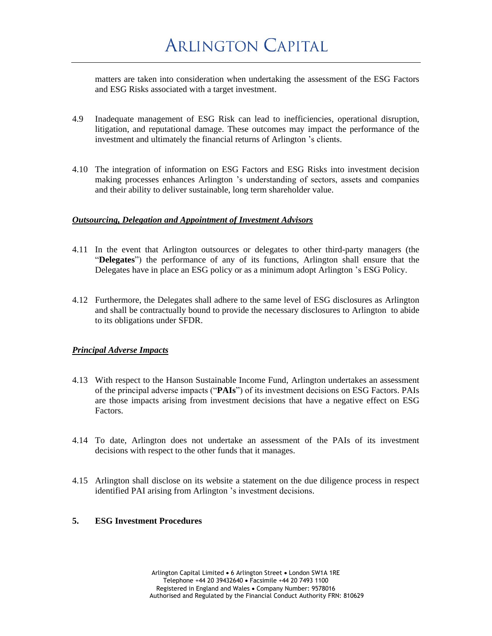matters are taken into consideration when undertaking the assessment of the ESG Factors and ESG Risks associated with a target investment.

- 4.9 Inadequate management of ESG Risk can lead to inefficiencies, operational disruption, litigation, and reputational damage. These outcomes may impact the performance of the investment and ultimately the financial returns of Arlington 's clients.
- 4.10 The integration of information on ESG Factors and ESG Risks into investment decision making processes enhances Arlington 's understanding of sectors, assets and companies and their ability to deliver sustainable, long term shareholder value.

#### *Outsourcing, Delegation and Appointment of Investment Advisors*

- 4.11 In the event that Arlington outsources or delegates to other third-party managers (the "**Delegates**") the performance of any of its functions, Arlington shall ensure that the Delegates have in place an ESG policy or as a minimum adopt Arlington 's ESG Policy.
- 4.12 Furthermore, the Delegates shall adhere to the same level of ESG disclosures as Arlington and shall be contractually bound to provide the necessary disclosures to Arlington to abide to its obligations under SFDR.

#### *Principal Adverse Impacts*

- 4.13 With respect to the Hanson Sustainable Income Fund, Arlington undertakes an assessment of the principal adverse impacts ("**PAIs**") of its investment decisions on ESG Factors. PAIs are those impacts arising from investment decisions that have a negative effect on ESG Factors.
- 4.14 To date, Arlington does not undertake an assessment of the PAIs of its investment decisions with respect to the other funds that it manages.
- 4.15 Arlington shall disclose on its website a statement on the due diligence process in respect identified PAI arising from Arlington 's investment decisions.

#### **5. ESG Investment Procedures**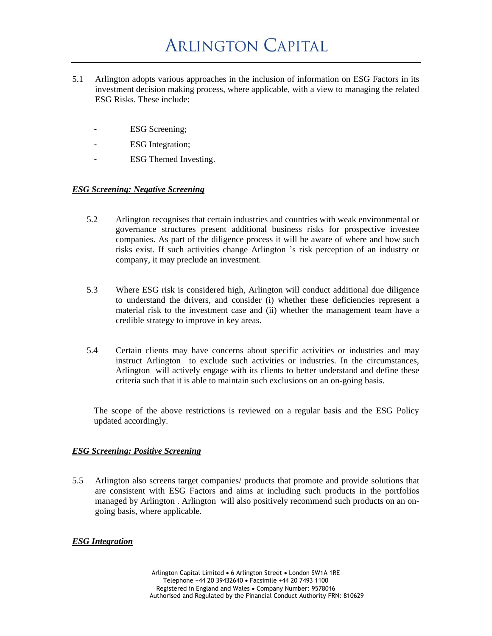- 5.1 Arlington adopts various approaches in the inclusion of information on ESG Factors in its investment decision making process, where applicable, with a view to managing the related ESG Risks. These include:
	- ESG Screening;
	- ESG Integration;
	- ESG Themed Investing.

#### *ESG Screening: Negative Screening*

- 5.2 Arlington recognises that certain industries and countries with weak environmental or governance structures present additional business risks for prospective investee companies. As part of the diligence process it will be aware of where and how such risks exist. If such activities change Arlington 's risk perception of an industry or company, it may preclude an investment.
- 5.3 Where ESG risk is considered high, Arlington will conduct additional due diligence to understand the drivers, and consider (i) whether these deficiencies represent a material risk to the investment case and (ii) whether the management team have a credible strategy to improve in key areas.
- 5.4 Certain clients may have concerns about specific activities or industries and may instruct Arlington to exclude such activities or industries. In the circumstances, Arlington will actively engage with its clients to better understand and define these criteria such that it is able to maintain such exclusions on an on-going basis.

The scope of the above restrictions is reviewed on a regular basis and the ESG Policy updated accordingly.

#### *ESG Screening: Positive Screening*

5.5 Arlington also screens target companies/ products that promote and provide solutions that are consistent with ESG Factors and aims at including such products in the portfolios managed by Arlington . Arlington will also positively recommend such products on an ongoing basis, where applicable.

## *ESG Integration*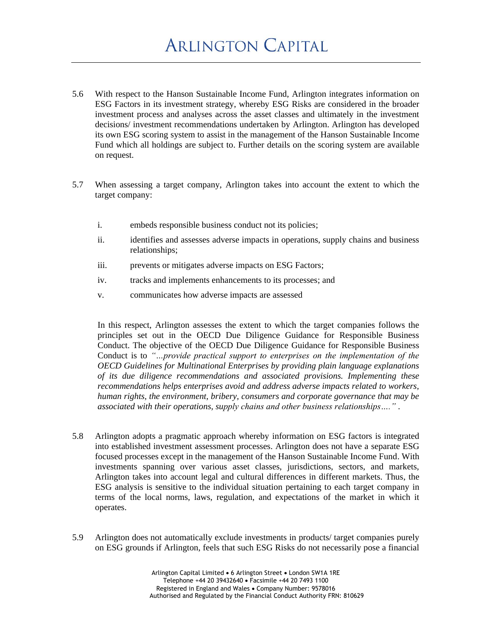- 5.6 With respect to the Hanson Sustainable Income Fund, Arlington integrates information on ESG Factors in its investment strategy, whereby ESG Risks are considered in the broader investment process and analyses across the asset classes and ultimately in the investment decisions/ investment recommendations undertaken by Arlington. Arlington has developed its own ESG scoring system to assist in the management of the Hanson Sustainable Income Fund which all holdings are subject to. Further details on the scoring system are available on request.
- 5.7 When assessing a target company, Arlington takes into account the extent to which the target company:
	- i. embeds responsible business conduct not its policies;
	- ii. identifies and assesses adverse impacts in operations, supply chains and business relationships;
	- iii. prevents or mitigates adverse impacts on ESG Factors;
	- iv. tracks and implements enhancements to its processes; and
	- v. communicates how adverse impacts are assessed

In this respect, Arlington assesses the extent to which the target companies follows the principles set out in the OECD Due Diligence Guidance for Responsible Business Conduct. The objective of the OECD Due Diligence Guidance for Responsible Business Conduct is to *"…provide practical support to enterprises on the implementation of the OECD Guidelines for Multinational Enterprises by providing plain language explanations of its due diligence recommendations and associated provisions. Implementing these recommendations helps enterprises avoid and address adverse impacts related to workers, human rights, the environment, bribery, consumers and corporate governance that may be associated with their operations, supply chains and other business relationships…."* .

- 5.8 Arlington adopts a pragmatic approach whereby information on ESG factors is integrated into established investment assessment processes. Arlington does not have a separate ESG focused processes except in the management of the Hanson Sustainable Income Fund. With investments spanning over various asset classes, jurisdictions, sectors, and markets, Arlington takes into account legal and cultural differences in different markets. Thus, the ESG analysis is sensitive to the individual situation pertaining to each target company in terms of the local norms, laws, regulation, and expectations of the market in which it operates.
- 5.9 Arlington does not automatically exclude investments in products/ target companies purely on ESG grounds if Arlington, feels that such ESG Risks do not necessarily pose a financial